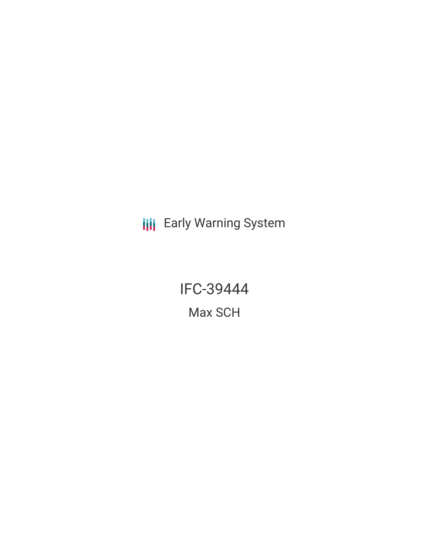**III** Early Warning System

IFC-39444 Max SCH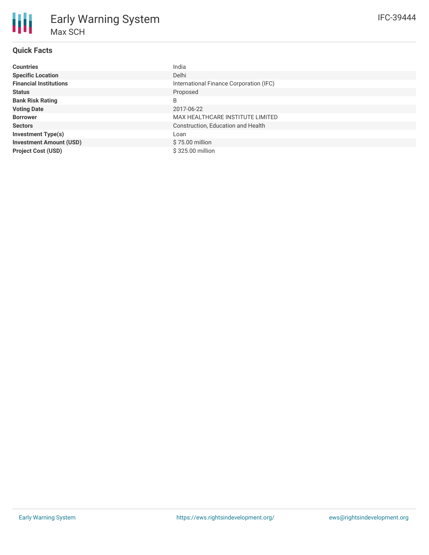# **Quick Facts**

| <b>Countries</b>               | India                                   |
|--------------------------------|-----------------------------------------|
| <b>Specific Location</b>       | Delhi                                   |
| <b>Financial Institutions</b>  | International Finance Corporation (IFC) |
| <b>Status</b>                  | Proposed                                |
| <b>Bank Risk Rating</b>        | B                                       |
| <b>Voting Date</b>             | 2017-06-22                              |
| <b>Borrower</b>                | <b>MAX HEALTHCARE INSTITUTE LIMITED</b> |
| <b>Sectors</b>                 | Construction, Education and Health      |
| <b>Investment Type(s)</b>      | Loan                                    |
| <b>Investment Amount (USD)</b> | \$75.00 million                         |
| <b>Project Cost (USD)</b>      | \$325.00 million                        |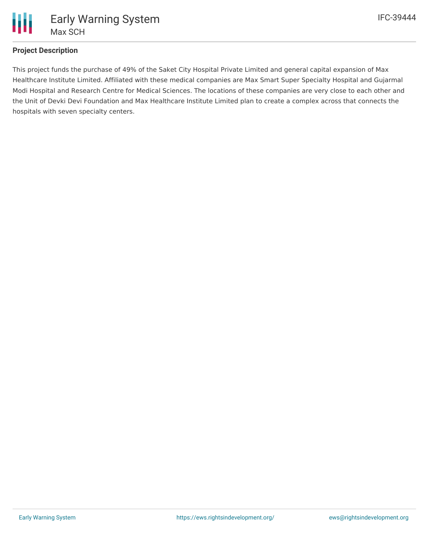

### **Project Description**

This project funds the purchase of 49% of the Saket City Hospital Private Limited and general capital expansion of Max Healthcare Institute Limited. Affiliated with these medical companies are Max Smart Super Specialty Hospital and Gujarmal Modi Hospital and Research Centre for Medical Sciences. The locations of these companies are very close to each other and the Unit of Devki Devi Foundation and Max Healthcare Institute Limited plan to create a complex across that connects the hospitals with seven specialty centers.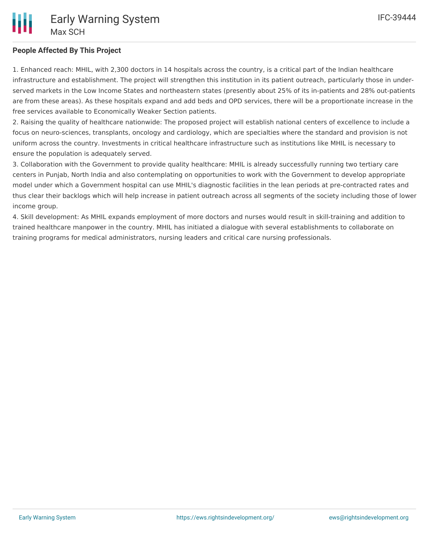#### **People Affected By This Project**

1. Enhanced reach: MHIL, with 2,300 doctors in 14 hospitals across the country, is a critical part of the Indian healthcare infrastructure and establishment. The project will strengthen this institution in its patient outreach, particularly those in underserved markets in the Low Income States and northeastern states (presently about 25% of its in-patients and 28% out-patients are from these areas). As these hospitals expand and add beds and OPD services, there will be a proportionate increase in the free services available to Economically Weaker Section patients.

2. Raising the quality of healthcare nationwide: The proposed project will establish national centers of excellence to include a focus on neuro-sciences, transplants, oncology and cardiology, which are specialties where the standard and provision is not uniform across the country. Investments in critical healthcare infrastructure such as institutions like MHIL is necessary to ensure the population is adequately served.

3. Collaboration with the Government to provide quality healthcare: MHIL is already successfully running two tertiary care centers in Punjab, North India and also contemplating on opportunities to work with the Government to develop appropriate model under which a Government hospital can use MHIL's diagnostic facilities in the lean periods at pre-contracted rates and thus clear their backlogs which will help increase in patient outreach across all segments of the society including those of lower income group.

4. Skill development: As MHIL expands employment of more doctors and nurses would result in skill-training and addition to trained healthcare manpower in the country. MHIL has initiated a dialogue with several establishments to collaborate on training programs for medical administrators, nursing leaders and critical care nursing professionals.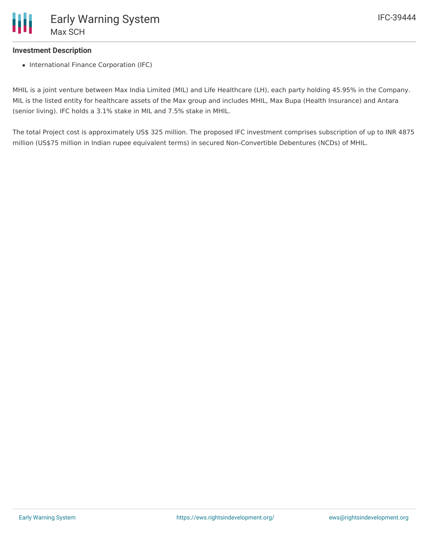#### **Investment Description**

• International Finance Corporation (IFC)

MHIL is a joint venture between Max India Limited (MIL) and Life Healthcare (LH), each party holding 45.95% in the Company. MIL is the listed entity for healthcare assets of the Max group and includes MHIL, Max Bupa (Health Insurance) and Antara (senior living). IFC holds a 3.1% stake in MIL and 7.5% stake in MHIL.

The total Project cost is approximately US\$ 325 million. The proposed IFC investment comprises subscription of up to INR 4875 million (US\$75 million in Indian rupee equivalent terms) in secured Non-Convertible Debentures (NCDs) of MHIL.